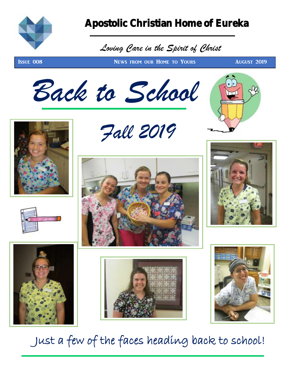

#### Apostolic Christian Home of Eureka

### *Loving Care in the Spirit of Christ*

**ISSUE 008 NEWS FROM OUR HOME TO YOURS AUGUST 2019** 







 *Fall 2019*











Just a few of the faces heading back to school!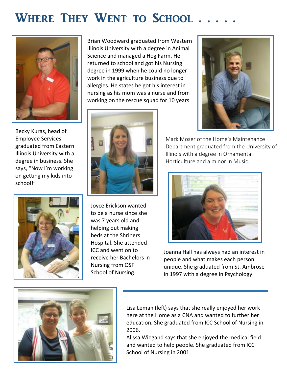## WHERE THEY WENT TO SCHOOL . . .



Becky Kuras, head of Employee Services graduated from Eastern Illinois University with a degree in business. She says, "Now I'm working on getting my kids into school!"



Brian Woodward graduated from Western Illinois University with a degree in Animal Science and managed a Hog Farm. He returned to school and got his Nursing degree in 1999 when he could no longer work in the agriculture business due to allergies. He states he got his interest in nursing as his mom was a nurse and from working on the rescue squad for 10 years



Joyce Erickson wanted to be a nurse since she was 7 years old and helping out making beds at the Shriners Hospital. She attended ICC and went on to receive her Bachelors in Nursing from OSF School of Nursing.



Mark Moser of the Home's Maintenance Department graduated from the University of Illinois with a degree in Ornamental Horticulture and a minor in Music.



Joanna Hall has always had an interest in people and what makes each person unique. She graduated from St. Ambrose in 1997 with a degree in Psychology.



Lisa Leman (left) says that she really enjoyed her work here at the Home as a CNA and wanted to further her education. She graduated from ICC School of Nursing in 2006.

Alissa Wiegand says that she enjoyed the medical field and wanted to help people. She graduated from ICC School of Nursing in 2001.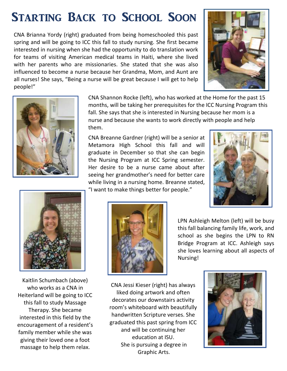## Starting Back to School Soon

CNA Brianna Yordy (right) graduated from being homeschooled this past spring and will be going to ICC this fall to study nursing. She first became interested in nursing when she had the opportunity to do translation work for teams of visiting American medical teams in Haiti, where she lived with her parents who are missionaries. She stated that she was also influenced to become a nurse because her Grandma, Mom, and Aunt are all nurses! She says, "Being a nurse will be great because I will get to help people!"





CNA Shannon Rocke (left), who has worked at the Home for the past 15 months, will be taking her prerequisites for the ICC Nursing Program this fall. She says that she is interested in Nursing because her mom is a nurse and because she wants to work directly with people and help them.

CNA Breanne Gardner (right) will be a senior at Metamora High School this fall and will graduate in December so that she can begin the Nursing Program at ICC Spring semester. Her desire to be a nurse came about after seeing her grandmother's need for better care while living in a nursing home. Breanne stated, "I want to make things better for people."





Kaitlin Schumbach (above) who works as a CNA in Heiterland will be going to ICC this fall to study Massage Therapy. She became interested in this field by the encouragement of a resident's family member while she was giving their loved one a foot massage to help them relax.



LPN Ashleigh Melton (left) will be busy this fall balancing family life, work, and school as she begins the LPN to RN Bridge Program at ICC. Ashleigh says she loves learning about all aspects of Nursing!

CNA Jessi Kieser (right) has always liked doing artwork and often decorates our downstairs activity room's whiteboard with beautifully handwritten Scripture verses. She graduated this past spring from ICC and will be continuing her education at ISU. She is pursuing a degree in Graphic Arts.

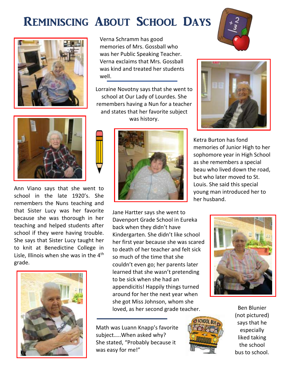## Reminiscing About School Days





Ann Viano says that she went to school in the late 1920's. She remembers the Nuns teaching and that Sister Lucy was her favorite because she was thorough in her teaching and helped students after school if they were having trouble. She says that Sister Lucy taught her to knit at Benedictine College in Lisle, Illinois when she was in the  $4<sup>th</sup>$ grade.



Verna Schramm has good memories of Mrs. Gossball who was her Public Speaking Teacher. Verna exclaims that Mrs. Gossball was kind and treated her students well.

Lorraine Novotny says that she went to school at Our Lady of Lourdes. She remembers having a Nun for a teacher and states that her favorite subject was history.



Jane Hartter says she went to Davenport Grade School in Eureka back when they didn't have Kindergarten. She didn't like school to death of her teacher and felt sick so much of the time that she couldn't even go; her parents later learned that she wasn't pretending to be sick when she had an appendicitis! Happily things turned around for her the next year when she got Miss Johnson, whom she loved, as her second grade teacher.

Math was Luann Knapp's favorite subject…..When asked why? She stated, "Probably because it was easy for me!"









Ketra Burton has fond memories of Junior High to her sophomore year in High School as she remembers a special beau who lived down the road, but who later moved to St. Louis. She said this special young man introduced her to her husband.

her first year because she was scared